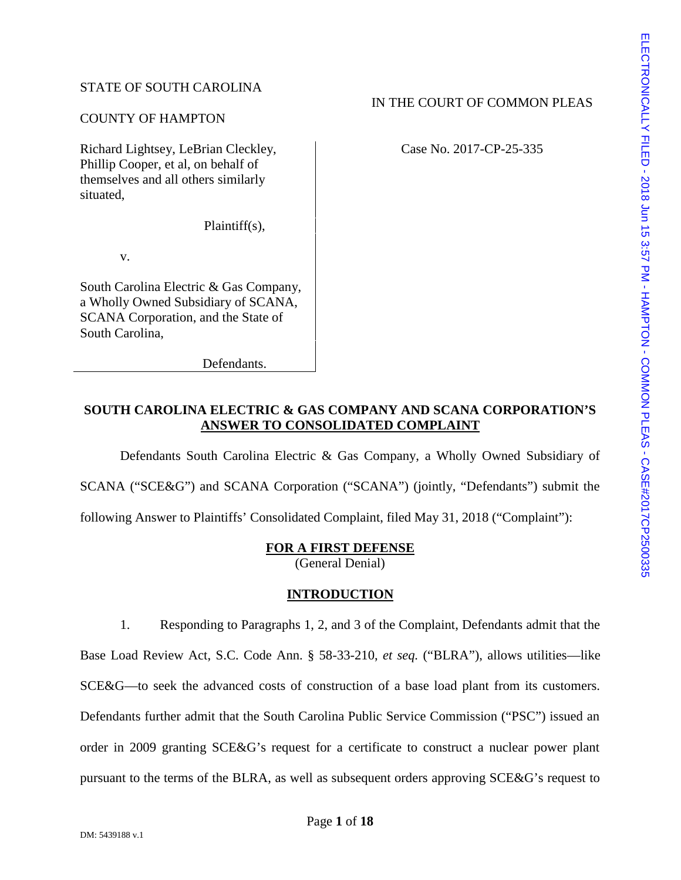## STATE OF SOUTH CAROLINA

#### COUNTY OF HAMPTON

Richard Lightsey, LeBrian Cleckley, Phillip Cooper, et al, on behalf of themselves and all others similarly situated,

Plaintiff(s),

v.

South Carolina Electric & Gas Company, a Wholly Owned Subsidiary of SCANA, SCANA Corporation, and the State of South Carolina,

Defendants.

# **SOUTH CAROLINA ELECTRIC & GAS COMPANY AND SCANA CORPORATION'S ANSWER TO CONSOLIDATED COMPLAINT**

IN THE COURT OF COMMON PLEAS<br>
Case No. 2017-CP-25-335<br>
Case No. 2017-CP-25-335<br>
Case No. 2017-CP-25-335<br>
Case No. 2017-CP-25-335<br>
Case No. 2017-CP-25-335<br>
Case No. 2017-CP-25-335<br>
Case No. 2017-CP-25-335<br>
Case No. 2017-CP-Defendants South Carolina Electric & Gas Company, a Wholly Owned Subsidiary of SCANA ("SCE&G") and SCANA Corporation ("SCANA") (jointly, "Defendants") submit the following Answer to Plaintiffs' Consolidated Complaint, filed May 31, 2018 ("Complaint"):

#### **FOR A FIRST DEFENSE**

(General Denial)

## **INTRODUCTION**

1. Responding to Paragraphs 1, 2, and 3 of the Complaint, Defendants admit that the Base Load Review Act, S.C. Code Ann. § 58-33-210, *et seq.* ("BLRA"), allows utilities—like SCE&G—to seek the advanced costs of construction of a base load plant from its customers. Defendants further admit that the South Carolina Public Service Commission ("PSC") issued an order in 2009 granting SCE&G's request for a certificate to construct a nuclear power plant pursuant to the terms of the BLRA, as well as subsequent orders approving SCE&G's request to

Case No. 2017-CP-25-335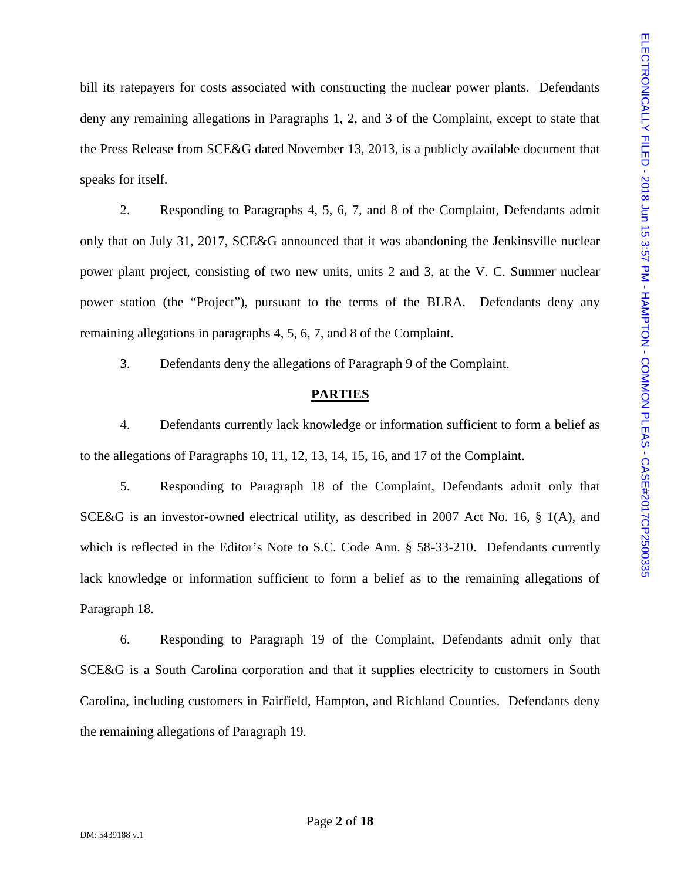bill its ratepayers for costs associated with constructing the nuclear power plants. Defendants deny any remaining allegations in Paragraphs 1, 2, and 3 of the Complaint, except to state that the Press Release from SCE&G dated November 13, 2013, is a publicly available document that speaks for itself.

2. Responding to Paragraphs 4, 5, 6, 7, and 8 of the Complaint, Defendants admit only that on July 31, 2017, SCE&G announced that it was abandoning the Jenkinsville nuclear power plant project, consisting of two new units, units 2 and 3, at the V. C. Summer nuclear bill its intepayers for costs associated with constructing the nuclear power plants. Defendants<br>
deny any remaining allegations in Paragraphs 1, 2, and 3 of the Complaint, except to state that<br>
the Press Release from SCE& remaining allegations in paragraphs 4, 5, 6, 7, and 8 of the Complaint.

3. Defendants deny the allegations of Paragraph 9 of the Complaint.

#### **PARTIES**

4. Defendants currently lack knowledge or information sufficient to form a belief as to the allegations of Paragraphs 10, 11, 12, 13, 14, 15, 16, and 17 of the Complaint.

5. Responding to Paragraph 18 of the Complaint, Defendants admit only that SCE&G is an investor-owned electrical utility, as described in 2007 Act No. 16, § 1(A), and which is reflected in the Editor's Note to S.C. Code Ann. § 58-33-210. Defendants currently lack knowledge or information sufficient to form a belief as to the remaining allegations of Paragraph 18.

6. Responding to Paragraph 19 of the Complaint, Defendants admit only that SCE&G is a South Carolina corporation and that it supplies electricity to customers in South Carolina, including customers in Fairfield, Hampton, and Richland Counties. Defendants deny the remaining allegations of Paragraph 19.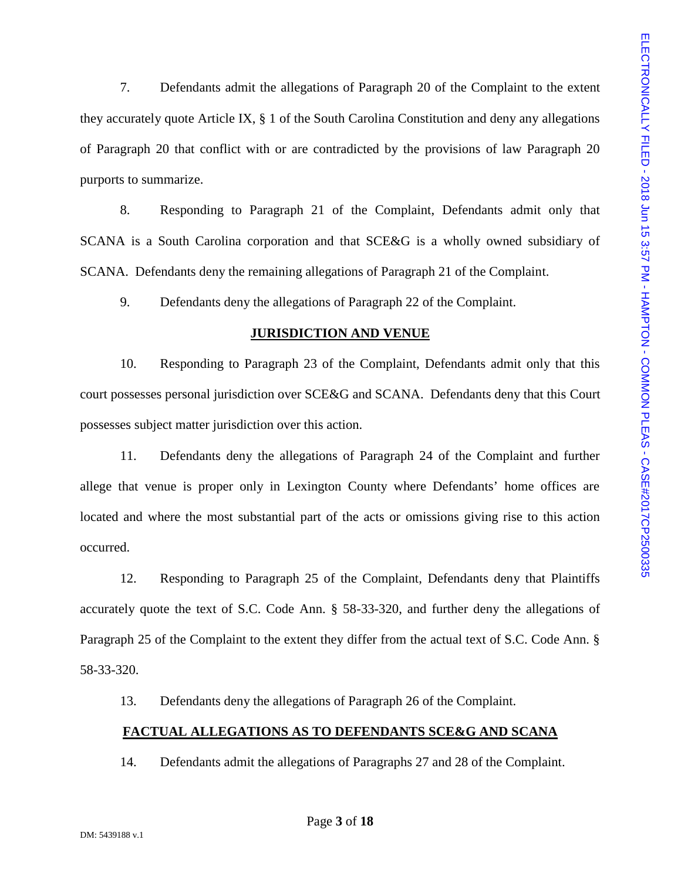7. Defendants admit the allegations of Paragraph 20 of the Complaint to the extent they accurately quote Article IX, § 1 of the South Carolina Constitution and deny any allegations 7. Defendents solmit the allegations of Paragraph 20 of the Completant to the extent<br>they accurately quote Article IX, § 1 of the South Carolina Constitution and deny any allegations<br>of Paragraph 20 that conflict with or purports to summarize.

8. Responding to Paragraph 21 of the Complaint, Defendants admit only that SCANA is a South Carolina corporation and that SCE&G is a wholly owned subsidiary of SCANA. Defendants deny the remaining allegations of Paragraph 21 of the Complaint.

9. Defendants deny the allegations of Paragraph 22 of the Complaint.

#### **JURISDICTION AND VENUE**

10. Responding to Paragraph 23 of the Complaint, Defendants admit only that this court possesses personal jurisdiction over SCE&G and SCANA. Defendants deny that this Court possesses subject matter jurisdiction over this action.

11. Defendants deny the allegations of Paragraph 24 of the Complaint and further allege that venue is proper only in Lexington County where Defendants' home offices are located and where the most substantial part of the acts or omissions giving rise to this action occurred.

12. Responding to Paragraph 25 of the Complaint, Defendants deny that Plaintiffs accurately quote the text of S.C. Code Ann. § 58-33-320, and further deny the allegations of Paragraph 25 of the Complaint to the extent they differ from the actual text of S.C. Code Ann. § 58-33-320.

13. Defendants deny the allegations of Paragraph 26 of the Complaint.

## **FACTUAL ALLEGATIONS AS TO DEFENDANTS SCE&G AND SCANA**

14. Defendants admit the allegations of Paragraphs 27 and 28 of the Complaint.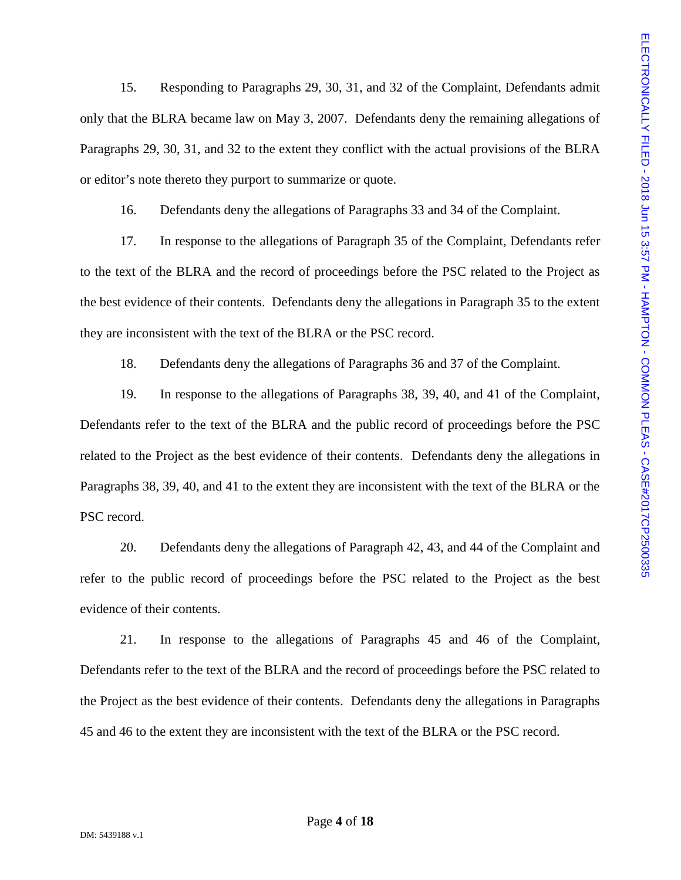15. Responding to Paragraphs 29, 30, 31, and 32 of the Complaint, Defendants admit only that the BLRA became law on May 3, 2007. Defendants deny the remaining allegations of or editor's note thereto they purport to summarize or quote.

16. Defendants deny the allegations of Paragraphs 33 and 34 of the Complaint.

17. In response to the allegations of Paragraph 35 of the Complaint, Defendants refer to the text of the BLRA and the record of proceedings before the PSC related to the Project as the best evidence of their contents. Defendants deny the allegations in Paragraph 35 to the extent they are inconsistent with the text of the BLRA or the PSC record.

18. Defendants deny the allegations of Paragraphs 36 and 37 of the Complaint.

15. Responding to Paragraphs 29, 30, 31, and 32 of the Complaint, Defendants achit and<br>
only that the BLRA became law on May 3, 2007. Defendants deny the remaining allegations of<br>
Paragraphs 29, 30, 31, and 32 to the exte 19. In response to the allegations of Paragraphs 38, 39, 40, and 41 of the Complaint, Defendants refer to the text of the BLRA and the public record of proceedings before the PSC related to the Project as the best evidence of their contents. Defendants deny the allegations in Paragraphs 38, 39, 40, and 41 to the extent they are inconsistent with the text of the BLRA or the PSC record.

20. Defendants deny the allegations of Paragraph 42, 43, and 44 of the Complaint and refer to the public record of proceedings before the PSC related to the Project as the best evidence of their contents.

21. In response to the allegations of Paragraphs 45 and 46 of the Complaint, Defendants refer to the text of the BLRA and the record of proceedings before the PSC related to the Project as the best evidence of their contents. Defendants deny the allegations in Paragraphs 45 and 46 to the extent they are inconsistent with the text of the BLRA or the PSC record.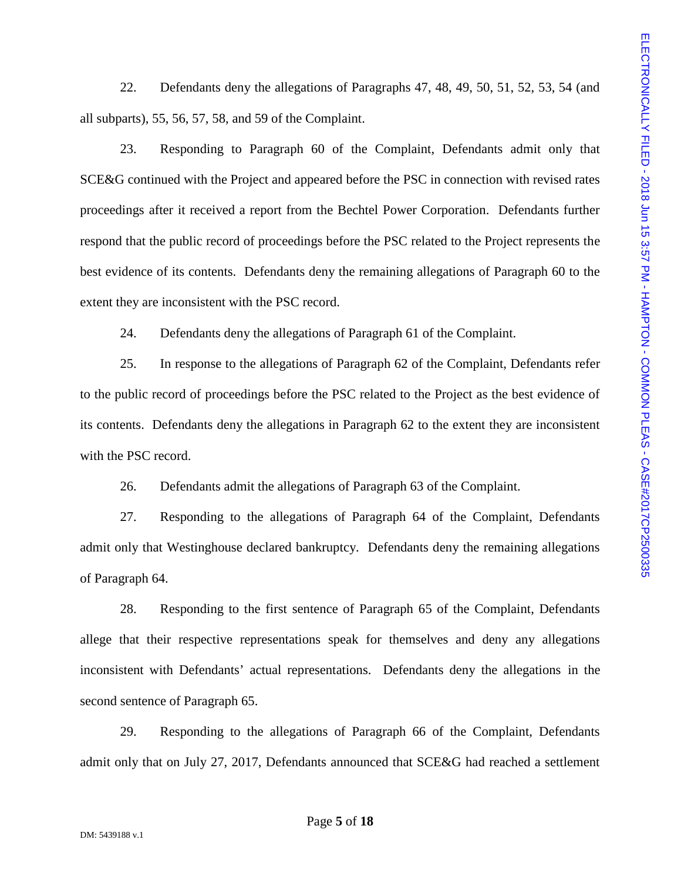all subparts), 55, 56, 57, 58, and 59 of the Complaint.

22. Defendants deny the allegations of Paragraphs 47, 48, 49, 50, 51, 52, 53, 54 (and  $\frac{1}{2}$ <br>
22. Responding to Paragraph 60 of the Complaint, Defendants admit only that<br>
23. Responding to Paragraph 60 of the Complaint 23. Responding to Paragraph 60 of the Complaint, Defendants admit only that SCE&G continued with the Project and appeared before the PSC in connection with revised rates proceedings after it received a report from the Bechtel Power Corporation. Defendants further respond that the public record of proceedings before the PSC related to the Project represents the best evidence of its contents. Defendants deny the remaining allegations of Paragraph 60 to the extent they are inconsistent with the PSC record.

24. Defendants deny the allegations of Paragraph 61 of the Complaint.

25. In response to the allegations of Paragraph 62 of the Complaint, Defendants refer to the public record of proceedings before the PSC related to the Project as the best evidence of its contents. Defendants deny the allegations in Paragraph 62 to the extent they are inconsistent with the PSC record.

26. Defendants admit the allegations of Paragraph 63 of the Complaint.

27. Responding to the allegations of Paragraph 64 of the Complaint, Defendants admit only that Westinghouse declared bankruptcy. Defendants deny the remaining allegations of Paragraph 64.

28. Responding to the first sentence of Paragraph 65 of the Complaint, Defendants allege that their respective representations speak for themselves and deny any allegations inconsistent with Defendants' actual representations. Defendants deny the allegations in the second sentence of Paragraph 65.

29. Responding to the allegations of Paragraph 66 of the Complaint, Defendants admit only that on July 27, 2017, Defendants announced that SCE&G had reached a settlement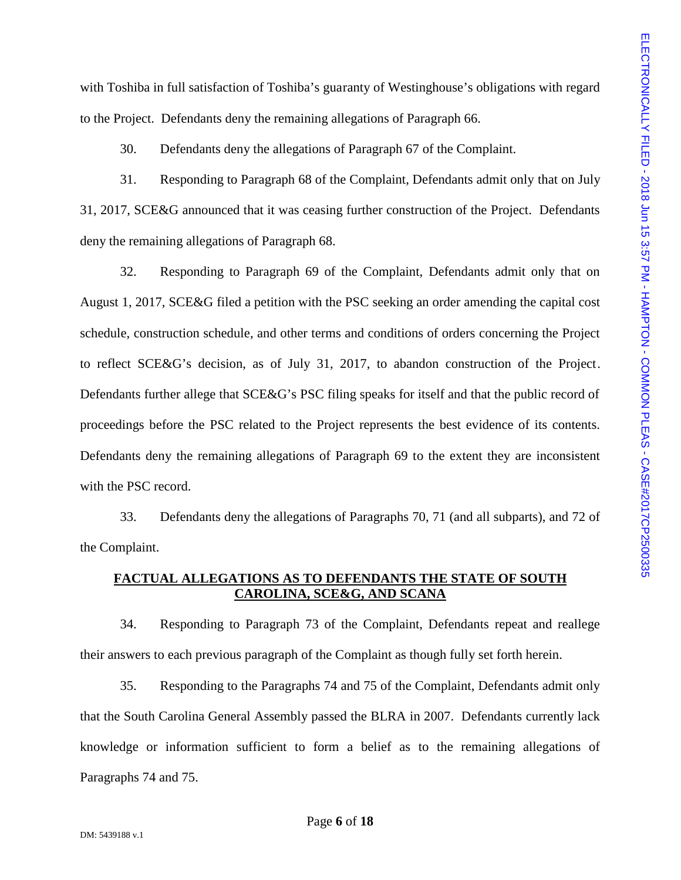to the Project. Defendants deny the remaining allegations of Paragraph 66.

30. Defendants deny the allegations of Paragraph 67 of the Complaint.

31. Responding to Paragraph 68 of the Complaint, Defendants admit only that on July 31, 2017, SCE&G announced that it was ceasing further construction of the Project. Defendants deny the remaining allegations of Paragraph 68.

with Toshiba in full satisfaction of Toshiba's guaranty of Westinghouse's obligations with regard<br>
to the Project. Defendants deny the remaining allegations of Paragraph 65.<br>
30. Defendants deny the allegations of Paragra 32. Responding to Paragraph 69 of the Complaint, Defendants admit only that on August 1, 2017, SCE&G filed a petition with the PSC seeking an order amending the capital cost schedule, construction schedule, and other terms and conditions of orders concerning the Project to reflect SCE&G's decision, as of July 31, 2017, to abandon construction of the Project. Defendants further allege that SCE&G's PSC filing speaks for itself and that the public record of proceedings before the PSC related to the Project represents the best evidence of its contents. Defendants deny the remaining allegations of Paragraph 69 to the extent they are inconsistent with the PSC record.

33. Defendants deny the allegations of Paragraphs 70, 71 (and all subparts), and 72 of the Complaint.

#### **FACTUAL ALLEGATIONS AS TO DEFENDANTS THE STATE OF SOUTH CAROLINA, SCE&G, AND SCANA**

34. Responding to Paragraph 73 of the Complaint, Defendants repeat and reallege their answers to each previous paragraph of the Complaint as though fully set forth herein.

35. Responding to the Paragraphs 74 and 75 of the Complaint, Defendants admit only that the South Carolina General Assembly passed the BLRA in 2007. Defendants currently lack knowledge or information sufficient to form a belief as to the remaining allegations of Paragraphs 74 and 75.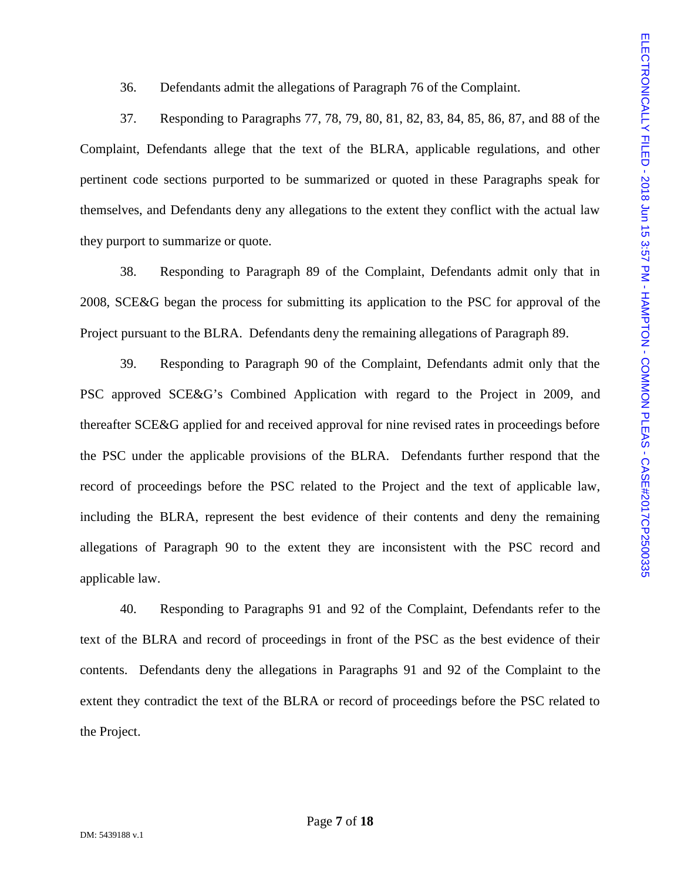36. Defendants admit the allegations of Paragraph 76 of the Complaint.

Complaint, Defendants allege that the text of the BLRA, applicable regulations, and other pertinent code sections purported to be summarized or quoted in these Paragraphs speak for themselves, and Defendants deny any allegations to the extent they conflict with the actual law they purport to summarize or quote.

38. Responding to Paragraph 89 of the Complaint, Defendants admit only that in 2008, SCE&G began the process for submitting its application to the PSC for approval of the Project pursuant to the BLRA. Defendants deny the remaining allegations of Paragraph 89.

36. Defendants admit the allegations of Paragraph 76 of the Complaint.<br>
37. Responding to Paragraphs 77, 78, 79, 80, 81, 82, 83, 84, 85, 86, 87, and 88 of the<br>
37. Responding to Paragraphs 77, 78, 79, 80, 81, 82, 83, 84, 39. Responding to Paragraph 90 of the Complaint, Defendants admit only that the PSC approved SCE&G's Combined Application with regard to the Project in 2009, and thereafter SCE&G applied for and received approval for nine revised rates in proceedings before the PSC under the applicable provisions of the BLRA. Defendants further respond that the record of proceedings before the PSC related to the Project and the text of applicable law, including the BLRA, represent the best evidence of their contents and deny the remaining allegations of Paragraph 90 to the extent they are inconsistent with the PSC record and applicable law. 36. Defendants admit the allegations of Puragraph 76 of the Complaint.<br>
37. Responding to Paragraphs 77, 78, 79, 80, 81, 82, 83, 84, 85, 86, 87, and 88 of the<br>
Complaint, Defendants allege that the text of the BLRA, appli

40. Responding to Paragraphs 91 and 92 of the Complaint, Defendants refer to the text of the BLRA and record of proceedings in front of the PSC as the best evidence of their contents. Defendants deny the allegations in Paragraphs 91 and 92 of the Complaint to the extent they contradict the text of the BLRA or record of proceedings before the PSC related to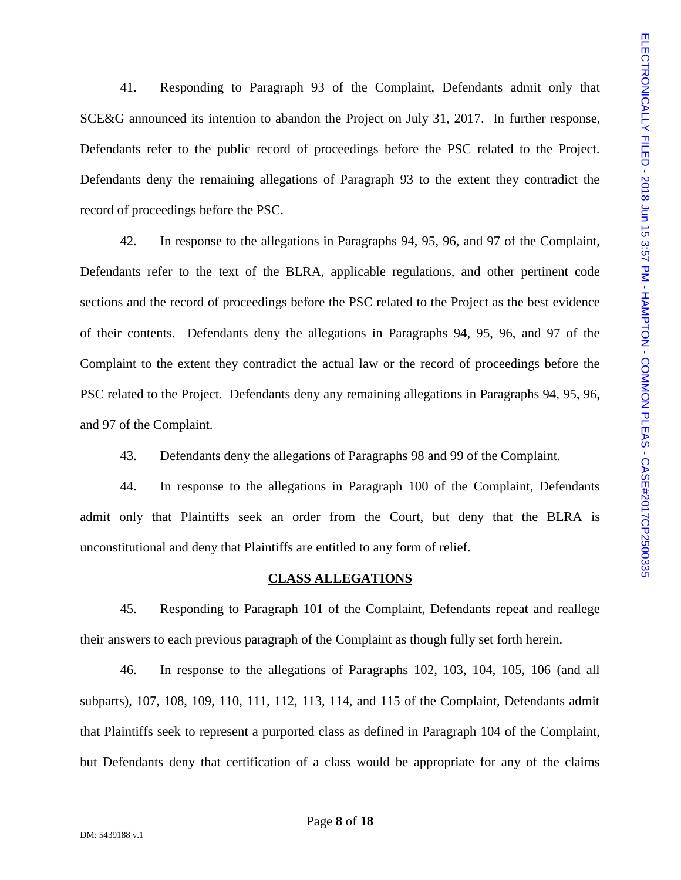41. Responding to Paragraph 93 of the Complaint, Defendants admit only that SCE&G announced its intention to abandon the Project on July 31, 2017. In further response, Defendants refer to the public record of proceedings before the PSC related to the Project. record of proceedings before the PSC.

41. Responding to Paragraph 93 of the Complaint, Defendants achit only that<br>SCE&G amounced its intention to abandon the Project on July 31, 2017. In further response,<br>Defendants refer to the public record of proceedings b 42. In response to the allegations in Paragraphs 94, 95, 96, and 97 of the Complaint, Defendants refer to the text of the BLRA, applicable regulations, and other pertinent code sections and the record of proceedings before the PSC related to the Project as the best evidence of their contents. Defendants deny the allegations in Paragraphs 94, 95, 96, and 97 of the Complaint to the extent they contradict the actual law or the record of proceedings before the PSC related to the Project. Defendants deny any remaining allegations in Paragraphs 94, 95, 96, and 97 of the Complaint.

43. Defendants deny the allegations of Paragraphs 98 and 99 of the Complaint.

44. In response to the allegations in Paragraph 100 of the Complaint, Defendants admit only that Plaintiffs seek an order from the Court, but deny that the BLRA is unconstitutional and deny that Plaintiffs are entitled to any form of relief.

#### **CLASS ALLEGATIONS**

45. Responding to Paragraph 101 of the Complaint, Defendants repeat and reallege their answers to each previous paragraph of the Complaint as though fully set forth herein.

46. In response to the allegations of Paragraphs 102, 103, 104, 105, 106 (and all subparts), 107, 108, 109, 110, 111, 112, 113, 114, and 115 of the Complaint, Defendants admit that Plaintiffs seek to represent a purported class as defined in Paragraph 104 of the Complaint, but Defendants deny that certification of a class would be appropriate for any of the claims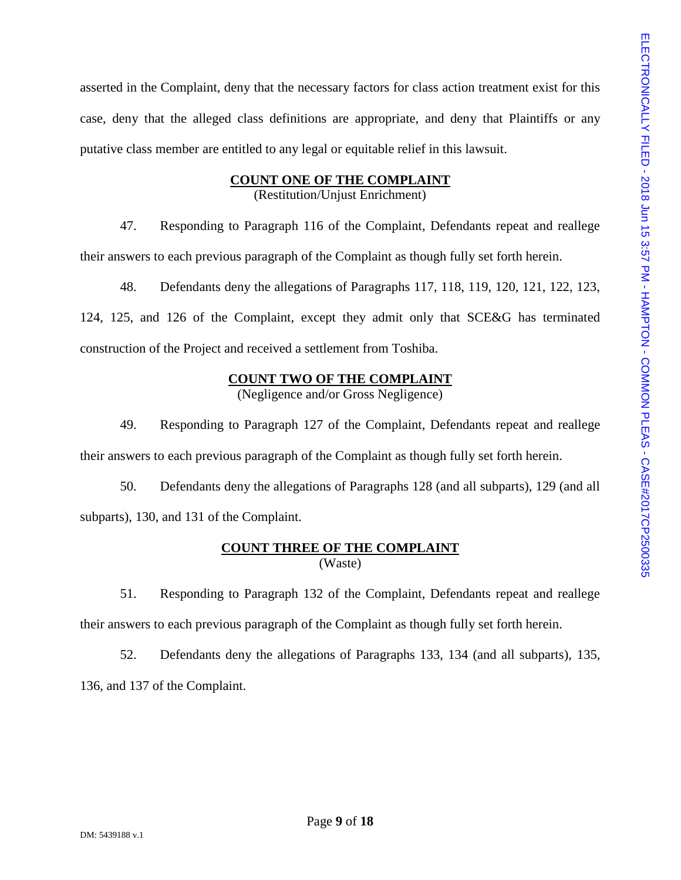asserted in the Complaint, deny that the necessary factors for class action treatment exist for this deserted in the Complaint, deny that the necessary factors for class action treatment exist for this<br>
ease, deny that the alleged class definitions are appropriate, and deny that Plaintiffs or any<br>
putative class member a putative class member are entitled to any legal or equitable relief in this lawsuit.

## **COUNT ONE OF THE COMPLAINT**

(Restitution/Unjust Enrichment)

47. Responding to Paragraph 116 of the Complaint, Defendants repeat and reallege their answers to each previous paragraph of the Complaint as though fully set forth herein.

48. Defendants deny the allegations of Paragraphs 117, 118, 119, 120, 121, 122, 123, 124, 125, and 126 of the Complaint, except they admit only that SCE&G has terminated construction of the Project and received a settlement from Toshiba.

## **COUNT TWO OF THE COMPLAINT**

(Negligence and/or Gross Negligence)

49. Responding to Paragraph 127 of the Complaint, Defendants repeat and reallege their answers to each previous paragraph of the Complaint as though fully set forth herein.

50. Defendants deny the allegations of Paragraphs 128 (and all subparts), 129 (and all subparts), 130, and 131 of the Complaint.

## **COUNT THREE OF THE COMPLAINT** (Waste)

51. Responding to Paragraph 132 of the Complaint, Defendants repeat and reallege their answers to each previous paragraph of the Complaint as though fully set forth herein.

52. Defendants deny the allegations of Paragraphs 133, 134 (and all subparts), 135, 136, and 137 of the Complaint.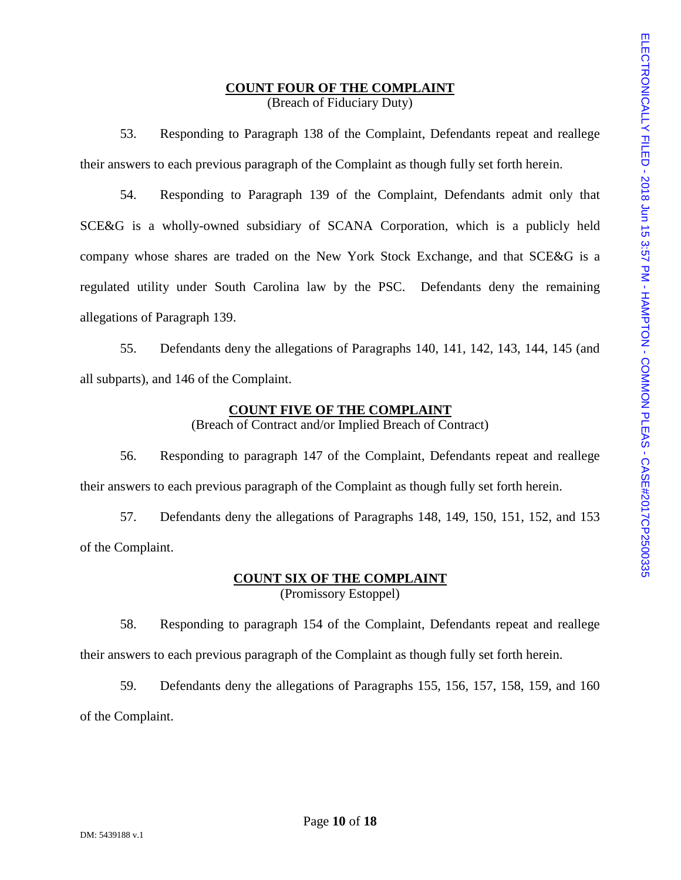### **COUNT FOUR OF THE COMPLAINT** (Breach of Fiduciary Duty)

their answers to each previous paragraph of the Complaint as though fully set forth herein.

**EXECT THE COMPLAINT**<br>
(Breach of Fiduciary Duty)<br>
53. Responding to Paragraph 138 of the Complaint, Defendants repeat and reallege<br>
swers to each previous paragraph 139 of the Complaint, Defendants admit only that<br>
54. R 54. Responding to Paragraph 139 of the Complaint, Defendants admit only that SCE&G is a wholly-owned subsidiary of SCANA Corporation, which is a publicly held company whose shares are traded on the New York Stock Exchange, and that SCE&G is a regulated utility under South Carolina law by the PSC. Defendants deny the remaining allegations of Paragraph 139.

55. Defendants deny the allegations of Paragraphs 140, 141, 142, 143, 144, 145 (and all subparts), and 146 of the Complaint.

# **COUNT FIVE OF THE COMPLAINT**

(Breach of Contract and/or Implied Breach of Contract)

56. Responding to paragraph 147 of the Complaint, Defendants repeat and reallege their answers to each previous paragraph of the Complaint as though fully set forth herein.

57. Defendants deny the allegations of Paragraphs 148, 149, 150, 151, 152, and 153 of the Complaint.

# **COUNT SIX OF THE COMPLAINT**

(Promissory Estoppel)

58. Responding to paragraph 154 of the Complaint, Defendants repeat and reallege their answers to each previous paragraph of the Complaint as though fully set forth herein.

59. Defendants deny the allegations of Paragraphs 155, 156, 157, 158, 159, and 160 of the Complaint.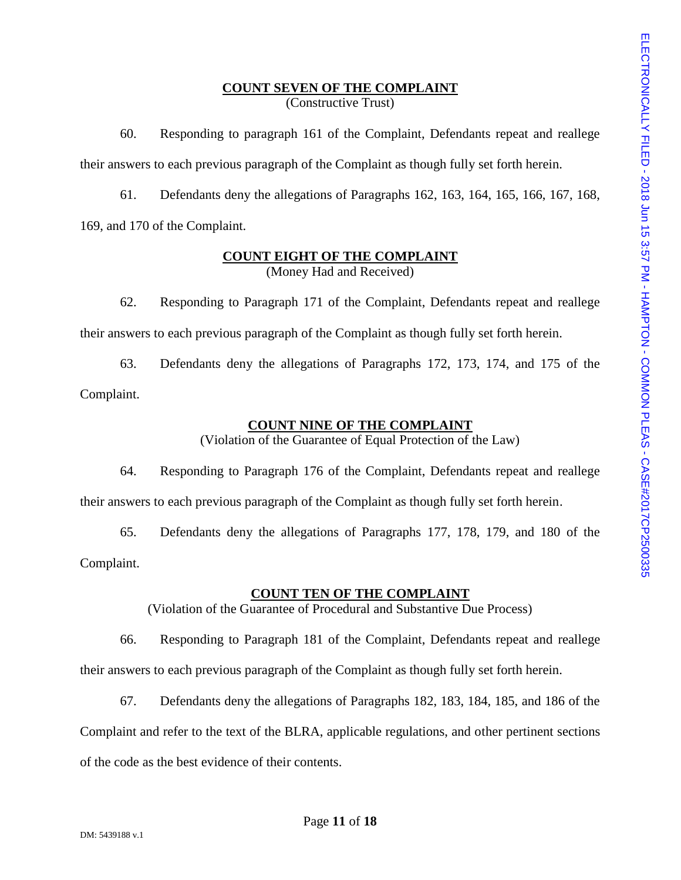## **COUNT SEVEN OF THE COMPLAINT** (Constructive Trust)

**EXERY OF THE COMPLAINT**<br>
(Constructive Trass)<br>
60. Responding to paragraph 161 of the Complaint, Defendants repeat and reallege<br>
swers to each previous paragraph of the Complaint, Defendants at the street of the Complain their answers to each previous paragraph of the Complaint as though fully set forth herein.

61. Defendants deny the allegations of Paragraphs 162, 163, 164, 165, 166, 167, 168, 169, and 170 of the Complaint.

# **COUNT EIGHT OF THE COMPLAINT** (Money Had and Received)

62. Responding to Paragraph 171 of the Complaint, Defendants repeat and reallege their answers to each previous paragraph of the Complaint as though fully set forth herein.

63. Defendants deny the allegations of Paragraphs 172, 173, 174, and 175 of the Complaint.

# **COUNT NINE OF THE COMPLAINT**

(Violation of the Guarantee of Equal Protection of the Law)

64. Responding to Paragraph 176 of the Complaint, Defendants repeat and reallege their answers to each previous paragraph of the Complaint as though fully set forth herein.

65. Defendants deny the allegations of Paragraphs 177, 178, 179, and 180 of the Complaint.

# **COUNT TEN OF THE COMPLAINT**

(Violation of the Guarantee of Procedural and Substantive Due Process)

66. Responding to Paragraph 181 of the Complaint, Defendants repeat and reallege their answers to each previous paragraph of the Complaint as though fully set forth herein.

67. Defendants deny the allegations of Paragraphs 182, 183, 184, 185, and 186 of the

Complaint and refer to the text of the BLRA, applicable regulations, and other pertinent sections

of the code as the best evidence of their contents.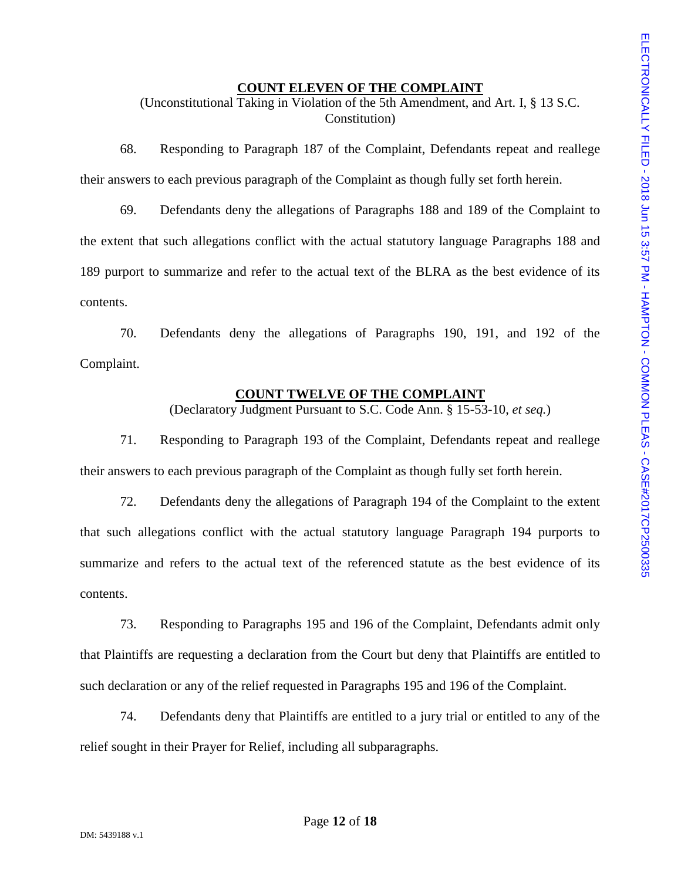#### **COUNT ELEVEN OF THE COMPLAINT**

(Unconstitutional Taking in Violation of the 5th Amendment, and Art. I, § 13 S.C. Constitution)

their answers to each previous paragraph of the Complaint as though fully set forth herein.

**EXERT OF THE COMPLAINT**<br>
CONSTITUTE COMPLAINT<br>
Constitution)<br>
68. Responding to Paragraph 187 of the Complaint, Defendants repeat and reallege<br>
swers to each previous paragraph of the Complaint, Defendants repeat and rea 69. Defendants deny the allegations of Paragraphs 188 and 189 of the Complaint to the extent that such allegations conflict with the actual statutory language Paragraphs 188 and 189 purport to summarize and refer to the actual text of the BLRA as the best evidence of its contents.

70. Defendants deny the allegations of Paragraphs 190, 191, and 192 of the Complaint.

#### **COUNT TWELVE OF THE COMPLAINT**

(Declaratory Judgment Pursuant to S.C. Code Ann. § 15-53-10, *et seq.*)

71. Responding to Paragraph 193 of the Complaint, Defendants repeat and reallege their answers to each previous paragraph of the Complaint as though fully set forth herein.

72. Defendants deny the allegations of Paragraph 194 of the Complaint to the extent that such allegations conflict with the actual statutory language Paragraph 194 purports to summarize and refers to the actual text of the referenced statute as the best evidence of its contents.

73. Responding to Paragraphs 195 and 196 of the Complaint, Defendants admit only that Plaintiffs are requesting a declaration from the Court but deny that Plaintiffs are entitled to such declaration or any of the relief requested in Paragraphs 195 and 196 of the Complaint.

74. Defendants deny that Plaintiffs are entitled to a jury trial or entitled to any of the relief sought in their Prayer for Relief, including all subparagraphs.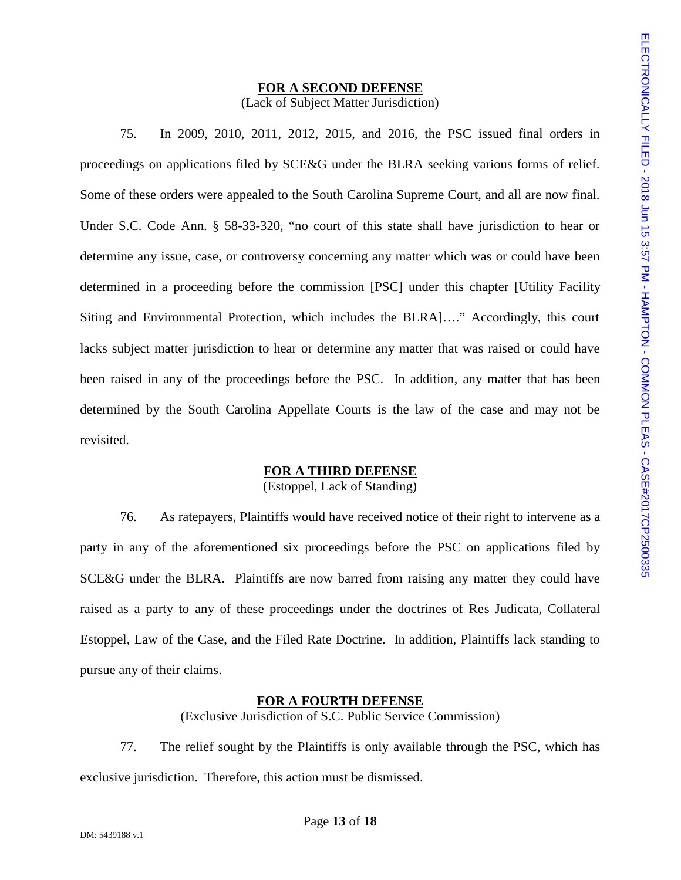# **FOR A SECOND DEFENSE** (Lack of Subject Matter Jurisdiction)

**FOR A SECOND DEFENSE**<br>
(Lack of Subject Matter Jurisdiction)<br>
75. In 2009, 2010, 2011, 2012, 2015, and 2016, the PSC issued final orders in<br>
Fings on applications filed by SCE&G under the BLRA secking various forms of re proceedings on applications filed by SCE&G under the BLRA seeking various forms of relief. Some of these orders were appealed to the South Carolina Supreme Court, and all are now final. Under S.C. Code Ann. § 58-33-320, "no court of this state shall have jurisdiction to hear or determine any issue, case, or controversy concerning any matter which was or could have been determined in a proceeding before the commission [PSC] under this chapter [Utility Facility Siting and Environmental Protection, which includes the BLRA]…." Accordingly, this court lacks subject matter jurisdiction to hear or determine any matter that was raised or could have been raised in any of the proceedings before the PSC. In addition, any matter that has been determined by the South Carolina Appellate Courts is the law of the case and may not be revisited.

# **FOR A THIRD DEFENSE**

(Estoppel, Lack of Standing)

76. As ratepayers, Plaintiffs would have received notice of their right to intervene as a party in any of the aforementioned six proceedings before the PSC on applications filed by SCE&G under the BLRA. Plaintiffs are now barred from raising any matter they could have raised as a party to any of these proceedings under the doctrines of Res Judicata, Collateral Estoppel, Law of the Case, and the Filed Rate Doctrine. In addition, Plaintiffs lack standing to pursue any of their claims.

## **FOR A FOURTH DEFENSE**

(Exclusive Jurisdiction of S.C. Public Service Commission)

77. The relief sought by the Plaintiffs is only available through the PSC, which has exclusive jurisdiction. Therefore, this action must be dismissed.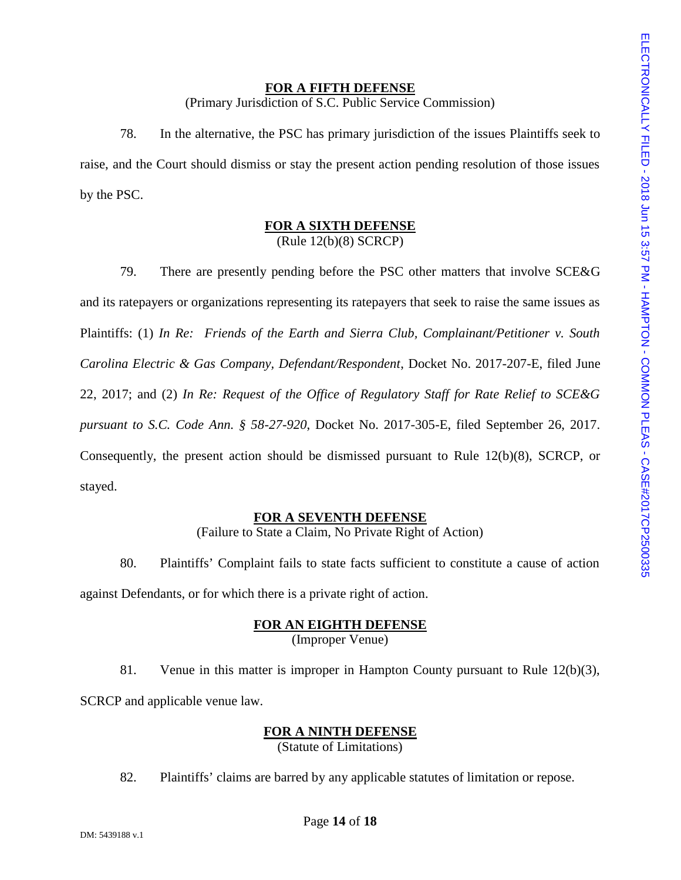#### **FOR A FIFTH DEFENSE**

(Primary Jurisdiction of S.C. Public Service Commission)

raise, and the Court should dismiss or stay the present action pending resolution of those issues by the PSC.

#### **FOR A SIXTH DEFENSE** (Rule 12(b)(8) SCRCP)

**FOR A FIFTH DEFENSE**<br>
78. In the alternative, the PSC has primary jurisdiction of the issues Plaintiffs seek to<br>
and the Court should dismiss or stay the present action pending resolution of those issues<br>
PSC.<br>
BOR A SIX 79. There are presently pending before the PSC other matters that involve SCE&G and its ratepayers or organizations representing its ratepayers that seek to raise the same issues as Plaintiffs: (1) *In Re: Friends of the Earth and Sierra Club, Complainant/Petitioner v. South Carolina Electric & Gas Company, Defendant/Respondent*, Docket No. 2017-207-E, filed June 22, 2017; and (2) *In Re: Request of the Office of Regulatory Staff for Rate Relief to SCE&G pursuant to S.C. Code Ann. § 58-27-920*, Docket No. 2017-305-E, filed September 26, 2017. Consequently, the present action should be dismissed pursuant to Rule 12(b)(8), SCRCP, or stayed.

## **FOR A SEVENTH DEFENSE**

(Failure to State a Claim, No Private Right of Action)

80. Plaintiffs' Complaint fails to state facts sufficient to constitute a cause of action against Defendants, or for which there is a private right of action.

# **FOR AN EIGHTH DEFENSE**

(Improper Venue)

81. Venue in this matter is improper in Hampton County pursuant to Rule 12(b)(3), SCRCP and applicable venue law.

#### **FOR A NINTH DEFENSE**

(Statute of Limitations)

82. Plaintiffs' claims are barred by any applicable statutes of limitation or repose.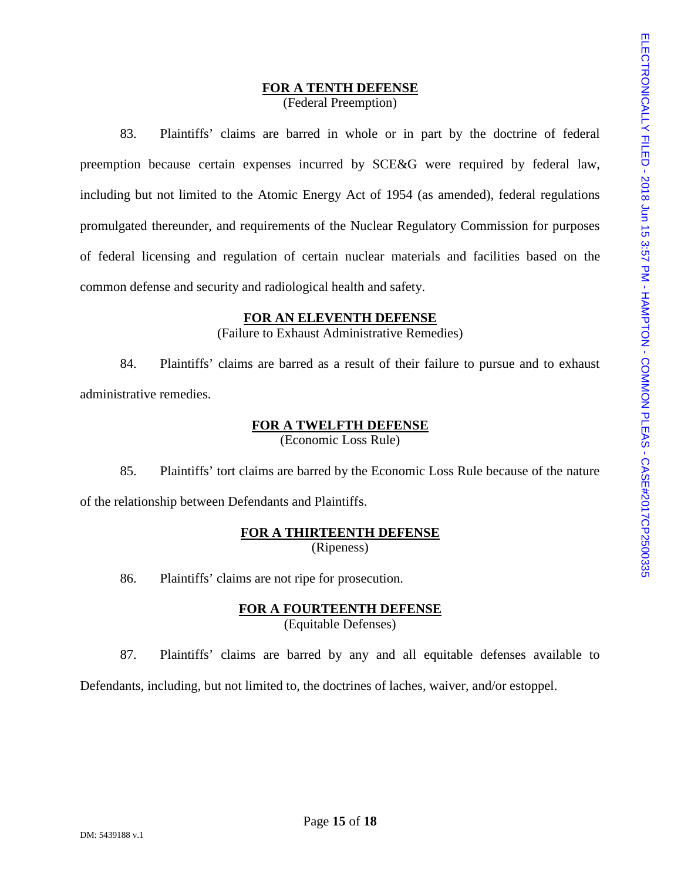### **FOR A TENTH DEFENSE** (Federal Preemption)

83. Plaintiffs' claims are barred in whole or in part by the doctrine of federal preemption because certain expenses incurred by SCE&G were required by federal law, including but not limited to the Atomic Energy Act of 1954 (as amended), federal regulations promulgated thereunder, and requirements of the Nuclear Regulatory Commission for purposes of federal licensing and regulation of certain nuclear materials and facilities based on the common defense and security and radiological health and safety.

#### **FOR AN ELEVENTH DEFENSE**

(Failure to Exhaust Administrative Remedies)

84. Plaintiffs' claims are barred as a result of their failure to pursue and to exhaust administrative remedies.

# **FOR A TWELFTH DEFENSE**

(Economic Loss Rule)

85. Plaintiffs' tort claims are barred by the Economic Loss Rule because of the nature of the relationship between Defendants and Plaintiffs.

## **FOR A THIRTEENTH DEFENSE** (Ripeness)

86. Plaintiffs' claims are not ripe for prosecution.

## **FOR A FOURTEENTH DEFENSE** (Equitable Defenses)

87. Plaintiffs' claims are barred by any and all equitable defenses available to

Defendants, including, but not limited to, the doctrines of laches, waiver, and/or estoppel.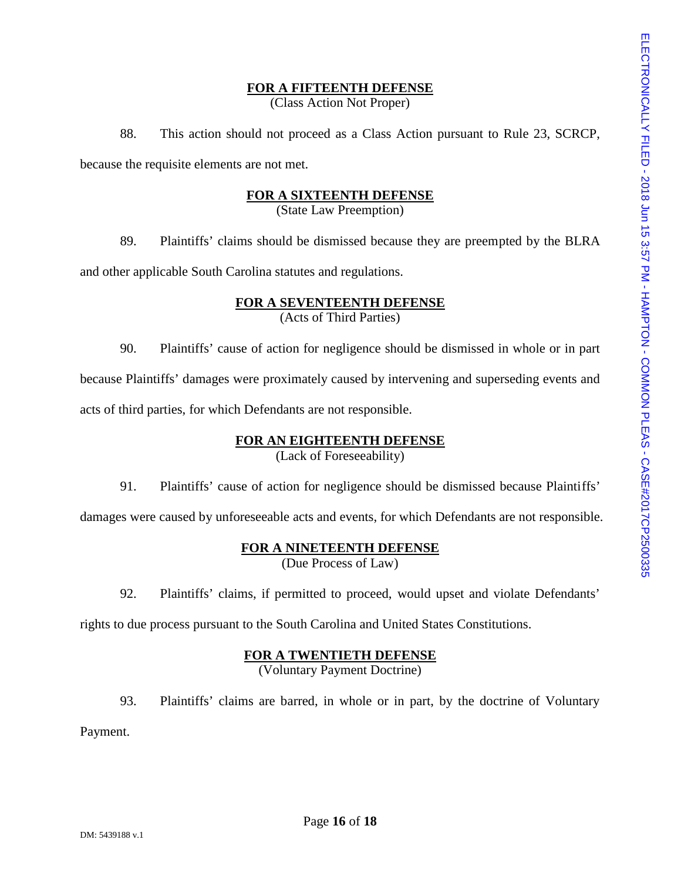#### **FOR A FIFTEENTH DEFENSE**

(Class Action Not Proper)

88. This action should not proceed as a Class Action pursuant to Rule 23, SCRCP, because the requisite elements are not met.

## **FOR A SIXTEENTH DEFENSE**

(State Law Preemption)

and other applicable South Carolina statutes and regulations.

## **FOR A SEVENTEENTH DEFENSE** (Acts of Third Parties)

**EXAMBITEENTH DEFENSE**<br>
88. This action should not proceed as a Class Action pursuant to Rule 23, SCRCP,<br>
the requisite elements are not met.<br> **EOR A SIXTEENTH DEFENSE**<br>
(State Law Preemption)<br>
99. Plaintiffs' claims shou 90. Plaintiffs' cause of action for negligence should be dismissed in whole or in part because Plaintiffs' damages were proximately caused by intervening and superseding events and acts of third parties, for which Defendants are not responsible.

## **FOR AN EIGHTEENTH DEFENSE**

(Lack of Foreseeability)

91. Plaintiffs' cause of action for negligence should be dismissed because Plaintiffs'

damages were caused by unforeseeable acts and events, for which Defendants are not responsible.

#### **FOR A NINETEENTH DEFENSE**

(Due Process of Law)

92. Plaintiffs' claims, if permitted to proceed, would upset and violate Defendants'

rights to due process pursuant to the South Carolina and United States Constitutions.

#### **FOR A TWENTIETH DEFENSE**

(Voluntary Payment Doctrine)

93. Plaintiffs' claims are barred, in whole or in part, by the doctrine of Voluntary

Payment.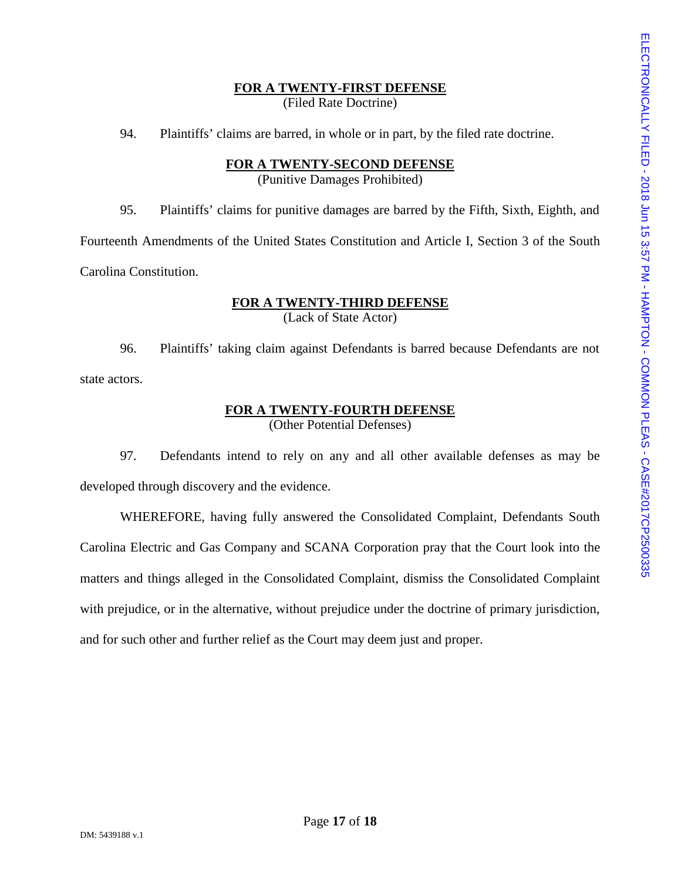#### **FOR A TWENTY-FIRST DEFENSE** (Filed Rate Doctrine)

94. Plaintiffs' claims are barred, in whole or in part, by the filed rate doctrine.

# **FOR A TWENTY-SECOND DEFENSE**

(Punitive Damages Prohibited)

Fourteenth Amendments of the United States Constitution and Article I, Section 3 of the South Carolina Constitution.

# **FOR A TWENTY-THIRD DEFENSE** (Lack of State Actor)

96. Plaintiffs' taking claim against Defendants is barred because Defendants are not state actors.

## **FOR A TWENTY-FOURTH DEFENSE** (Other Potential Defenses)

97. Defendants intend to rely on any and all other available defenses as may be developed through discovery and the evidence.

**FOR A TWENTY-FIRST DEFENSE**<br>
94. Plaintiffs' claims are barred, in whole or in part, by the filed rate doctrine.<br> **FOR A TWENTY-SECOND DEFENSE**<br>
95. Plaintiffs' claims for punitive damages are barred by the Fifth, Sixth, WHEREFORE, having fully answered the Consolidated Complaint, Defendants South Carolina Electric and Gas Company and SCANA Corporation pray that the Court look into the matters and things alleged in the Consolidated Complaint, dismiss the Consolidated Complaint with prejudice, or in the alternative, without prejudice under the doctrine of primary jurisdiction, and for such other and further relief as the Court may deem just and proper.